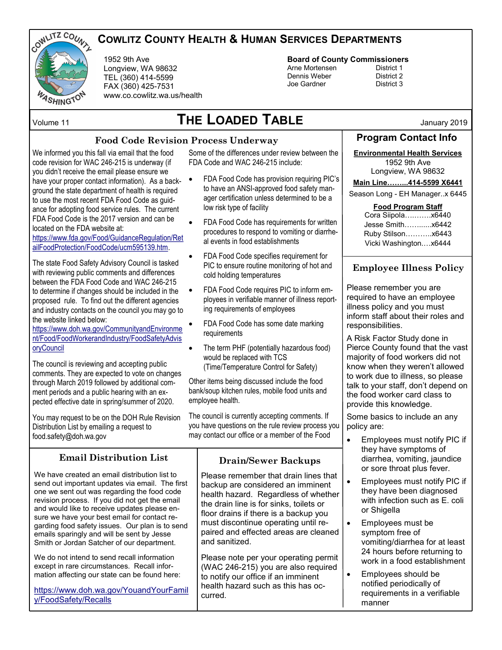

## **COWLITZ COUNTY HEALTH & HUMAN SERVICES DEPARTMENTS**

1952 9th Ave Longview, WA 98632 TEL (360) 414-5599 FAX (360) 425-7531 www.co.cowlitz.wa.us/health

# **THE LOADED TABLE** Volume 11 January 2019

## **Food Code Revision Process Underway**

We informed you this fall via email that the food code revision for WAC 246-215 is underway (if you didn't receive the email please ensure we have your proper contact information). As a background the state department of health is required to use the most recent FDA Food Code as guidance for adopting food service rules. The current FDA Food Code is the 2017 version and can be located on the FDA website at:

### [https://www.fda.gov/Food/GuidanceRegulation/Ret](https://www.fda.gov/Food/GuidanceRegulation/RetailFoodProtection/FoodCode/ucm595139.htm) [ailFoodProtection/FoodCode/ucm595139.htm.](https://www.fda.gov/Food/GuidanceRegulation/RetailFoodProtection/FoodCode/ucm595139.htm)

The state Food Safety Advisory Council is tasked with reviewing public comments and differences between the FDA Food Code and WAC 246-215 to determine if changes should be included in the proposed rule. To find out the different agencies and industry contacts on the council you may go to the website linked below:

[https://www.doh.wa.gov/CommunityandEnvironme](https://www.doh.wa.gov/CommunityandEnvironment/Food/FoodWorkerandIndustry/FoodSafetyAdvisoryCouncil) [nt/Food/FoodWorkerandIndustry/FoodSafetyAdvis](https://www.doh.wa.gov/CommunityandEnvironment/Food/FoodWorkerandIndustry/FoodSafetyAdvisoryCouncil) [oryCouncil](https://www.doh.wa.gov/CommunityandEnvironment/Food/FoodWorkerandIndustry/FoodSafetyAdvisoryCouncil) 

The council is reviewing and accepting public comments. They are expected to vote on changes through March 2019 followed by additional comment periods and a public hearing with an expected effective date in spring/summer of 2020.

You may request to be on the DOH Rule Revision Distribution List by emailing a request to food.safety@doh.wa.gov

## **Email Distribution List Drain/Sewer Backups**

We have created an email distribution list to send out important updates via email. The first one we sent out was regarding the food code revision process. If you did not get the email and would like to receive updates please ensure we have your best email for contact regarding food safety issues. Our plan is to send emails sparingly and will be sent by Jesse Smith or Jordan Satcher of our department.

We do not intend to send recall information except in rare circumstances. Recall information affecting our state can be found here:

[https://www.doh.wa.gov/YouandYourFamil](https://www.doh.wa.gov/YouandYourFamily/FoodSafety/Recalls) [y/FoodSafety/Recalls](https://www.doh.wa.gov/YouandYourFamily/FoodSafety/Recalls)

Some of the differences under review between the FDA Code and WAC 246-215 include:

- FDA Food Code has provision requiring PIC's to have an ANSI-approved food safety manager certification unless determined to be a low risk type of facility
- FDA Food Code has requirements for written procedures to respond to vomiting or diarrheal events in food establishments
- FDA Food Code specifies requirement for PIC to ensure routine monitoring of hot and cold holding temperatures
- FDA Food Code requires PIC to inform employees in verifiable manner of illness reporting requirements of employees
- FDA Food Code has some date marking requirements
- The term PHF (potentially hazardous food) would be replaced with TCS (Time/Temperature Control for Safety)

Other items being discussed include the food bank/soup kitchen rules, mobile food units and employee health.

The council is currently accepting comments. If you have questions on the rule review process you may contact our office or a member of the Food

Please remember that drain lines that backup are considered an imminent health hazard. Regardless of whether the drain line is for sinks, toilets or floor drains if there is a backup you must discontinue operating until repaired and effected areas are cleaned and sanitized.

Please note per your operating permit (WAC 246-215) you are also required to notify our office if an imminent health hazard such as this has occurred.

# **Board of County Commissioners**

Dennis Weber Joe Gardner District 3

Arne Mortensen<br>
Dennis Weber<br>
District 2

## **Program Contact Info**

## **Environmental Health Services**

1952 9th Ave Longview, WA 98632

**Main Line……...414-5599 X6441**

Season Long - EH Manager..x 6445

### **Food Program Staff**

| Cora Siipola x6440    |  |
|-----------------------|--|
| Jesse Smithx6442      |  |
| Ruby Stilson x6443    |  |
| Vicki Washingtonx6444 |  |

## **Employee Illness Policy**

Please remember you are required to have an employee illness policy and you must inform staff about their roles and responsibilities.

A Risk Factor Study done in Pierce County found that the vast majority of food workers did not know when they weren't allowed to work due to illness, so please talk to your staff, don't depend on the food worker card class to provide this knowledge.

Some basics to include an any policy are:

- Employees must notify PIC if they have symptoms of diarrhea, vomiting, jaundice or sore throat plus fever.
- Employees must notify PIC if they have been diagnosed with infection such as E. coli or Shigella
- Employees must be symptom free of vomiting/diarrhea for at least 24 hours before returning to work in a food establishment
- Employees should be notified periodically of requirements in a verifiable manner